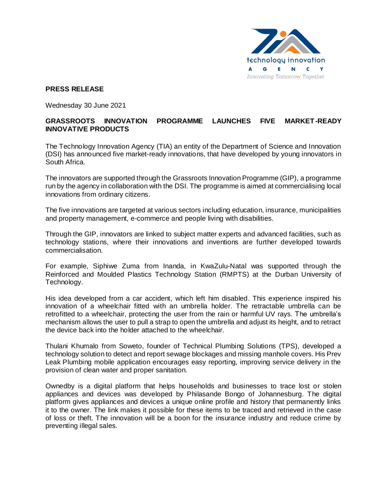

## **PRESS RELEASE**

Wednesday 30 June 2021

## **GRASSROOTS INNOVATION PROGRAMME LAUNCHES FIVE MARKET-READY INNOVATIVE PRODUCTS**

The Technology Innovation Agency (TIA) an entity of the Department of Science and Innovation (DSI) has announced five market-ready innovations, that have developed by young innovators in South Africa.

The innovators are supported through the Grassroots Innovation Programme (GIP), a programme run by the agency in collaboration with the DSI. The programme is aimed at commercialising local innovations from ordinary citizens.

The five innovations are targeted at various sectors including education, insurance, municipalities and property management, e-commerce and people living with disabilities.

Through the GIP, innovators are linked to subject matter experts and advanced facilities, such as technology stations, where their innovations and inventions are further developed towards commercialisation.

For example, Siphiwe Zuma from Inanda, in KwaZulu-Natal was supported through the Reinforced and Moulded Plastics Technology Station (RMPTS) at the Durban University of Technology.

His idea developed from a car accident, which left him disabled. This experience inspired his innovation of a wheelchair fitted with an umbrella holder. The retractable umbrella can be retrofitted to a wheelchair, protecting the user from the rain or harmful UV rays. The umbrella's mechanism allows the user to pull a strap to open the umbrella and adjust its height, and to retract the device back into the holder attached to the wheelchair.

Thulani Khumalo from Soweto, founder of Technical Plumbing Solutions (TPS), developed a technology solution to detect and report sewage blockages and missing manhole covers. His Prev Leak Plumbing mobile application encourages easy reporting, improving service delivery in the provision of clean water and proper sanitation.

Ownedby is a digital platform that helps households and businesses to trace lost or stolen appliances and devices was developed by Philasande Bongo of Johannesburg. The digital platform gives appliances and devices a unique online profile and history that permanently links it to the owner. The link makes it possible for these items to be traced and retrieved in the case of loss or theft. The innovation will be a boon for the insurance industry and reduce crime by preventing illegal sales.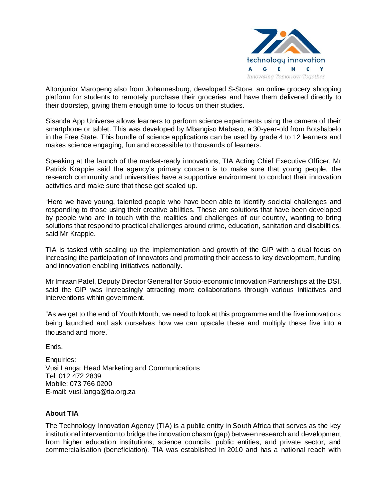

Altonjunior Maropeng also from Johannesburg, developed S-Store, an online grocery shopping platform for students to remotely purchase their groceries and have them delivered directly to their doorstep, giving them enough time to focus on their studies.

Sisanda App Universe allows learners to perform science experiments using the camera of their smartphone or tablet. This was developed by Mbangiso Mabaso, a 30-year-old from Botshabelo in the Free State. This bundle of science applications can be used by grade 4 to 12 learners and makes science engaging, fun and accessible to thousands of learners.

Speaking at the launch of the market-ready innovations, TIA Acting Chief Executive Officer, Mr Patrick Krappie said the agency's primary concern is to make sure that young people, the research community and universities have a supportive environment to conduct their innovation activities and make sure that these get scaled up.

"Here we have young, talented people who have been able to identify societal challenges and responding to those using their creative abilities. These are solutions that have been developed by people who are in touch with the realities and challenges of our country, wanting to bring solutions that respond to practical challenges around crime, education, sanitation and disabilities, said Mr Krappie.

TIA is tasked with scaling up the implementation and growth of the GIP with a dual focus on increasing the participation of innovators and promoting their access to key development, funding and innovation enabling initiatives nationally.

Mr Imraan Patel, Deputy Director General for Socio-economic Innovation Partnerships at the DSI, said the GIP was increasingly attracting more collaborations through various initiatives and interventions within government.

"As we get to the end of Youth Month, we need to look at this programme and the five innovations being launched and ask ourselves how we can upscale these and multiply these five into a thousand and more."

Ends.

Enquiries: Vusi Langa: Head Marketing and Communications Tel: 012 472 2839 Mobile: 073 766 0200 E-mail: vusi.langa@tia.org.za

## **About TIA**

The Technology Innovation Agency (TIA) is a public entity in South Africa that serves as the key institutional intervention to bridge the innovation chasm (gap) between research and development from higher education institutions, science councils, public entities, and private sector, and commercialisation (beneficiation). TIA was established in 2010 and has a national reach with